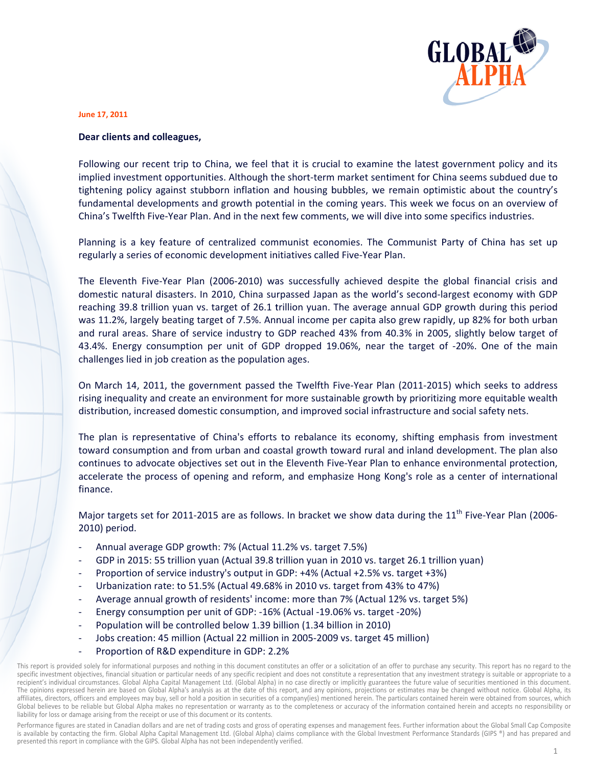

## June 17, 2011

## Dear clients and colleagues,

Following our recent trip to China, we feel that it is crucial to examine the latest government policy and its implied investment opportunities. Although the short-term market sentiment for China seems subdued due to tightening policy against stubborn inflation and housing bubbles, we remain optimistic about the country's fundamental developments and growth potential in the coming years. This week we focus on an overview of China's Twelfth Five-Year Plan. And in the next few comments, we will dive into some specifics industries.

Planning is a key feature of centralized communist economies. The Communist Party of China has set up regularly a series of economic development initiatives called Five-Year Plan.

The Eleventh Five-Year Plan (2006-2010) was successfully achieved despite the global financial crisis and domestic natural disasters. In 2010, China surpassed Japan as the world's second-largest economy with GDP reaching 39.8 trillion yuan vs. target of 26.1 trillion yuan. The average annual GDP growth during this period was 11.2%, largely beating target of 7.5%. Annual income per capita also grew rapidly, up 82% for both urban and rural areas. Share of service industry to GDP reached 43% from 40.3% in 2005, slightly below target of 43.4%. Energy consumption per unit of GDP dropped 19.06%, near the target of -20%. One of the main challenges lied in job creation as the population ages.

On March 14, 2011, the government passed the Twelfth Five-Year Plan (2011-2015) which seeks to address rising inequality and create an environment for more sustainable growth by prioritizing more equitable wealth distribution, increased domestic consumption, and improved social infrastructure and social safety nets.

The plan is representative of China's efforts to rebalance its economy, shifting emphasis from investment toward consumption and from urban and coastal growth toward rural and inland development. The plan also continues to advocate objectives set out in the Eleventh Five-Year Plan to enhance environmental protection, accelerate the process of opening and reform, and emphasize Hong Kong's role as a center of international finance.

Major targets set for 2011-2015 are as follows. In bracket we show data during the 11<sup>th</sup> Five-Year Plan (2006-2010) period.

- Annual average GDP growth: 7% (Actual 11.2% vs. target 7.5%)
- GDP in 2015: 55 trillion yuan (Actual 39.8 trillion yuan in 2010 vs. target 26.1 trillion yuan)
- Proportion of service industry's output in GDP: +4% (Actual +2.5% vs. target +3%)
- Urbanization rate: to 51.5% (Actual 49.68% in 2010 vs. target from 43% to 47%)
- Average annual growth of residents' income: more than 7% (Actual 12% vs. target 5%)
- Energy consumption per unit of GDP: -16% (Actual -19.06% vs. target -20%)
- Population will be controlled below 1.39 billion (1.34 billion in 2010)
- Jobs creation: 45 million (Actual 22 million in 2005-2009 vs. target 45 million)
- Proportion of R&D expenditure in GDP: 2.2%

This report is provided solely for informational purposes and nothing in this document constitutes an offer or a solicitation of an offer to purchase any security. This report has no regard to the specific investment objectives, financial situation or particular needs of any specific recipient and does not constitute a representation that any investment strategy is suitable or appropriate to a recipient's individual circumstances. Global Alpha Capital Management Ltd. (Global Alpha) in no case directly or implicitly guarantees the future value of securities mentioned in this document. The opinions expressed herein are based on Global Alpha's analysis as at the date of this report, and any opinions, projections or estimates may be changed without notice. Global Alpha, its affiliates, directors, officers and employees may buy, sell or hold a position in securities of a company(ies) mentioned herein. The particulars contained herein were obtained from sources, which Global believes to be reliable but Global Alpha makes no representation or warranty as to the completeness or accuracy of the information contained herein and accepts no responsibility or liability for loss or damage arising from the receipt or use of this document or its contents.

Performance figures are stated in Canadian dollars and are net of trading costs and gross of operating expenses and management fees. Further information about the Global Small Cap Composite is available by contacting the firm. Global Alpha Capital Management Ltd. (Global Alpha) claims compliance with the Global Investment Performance Standards (GIPS ®) and has prepared and presented this report in compliance with the GIPS. Global Alpha has not been independently verified.